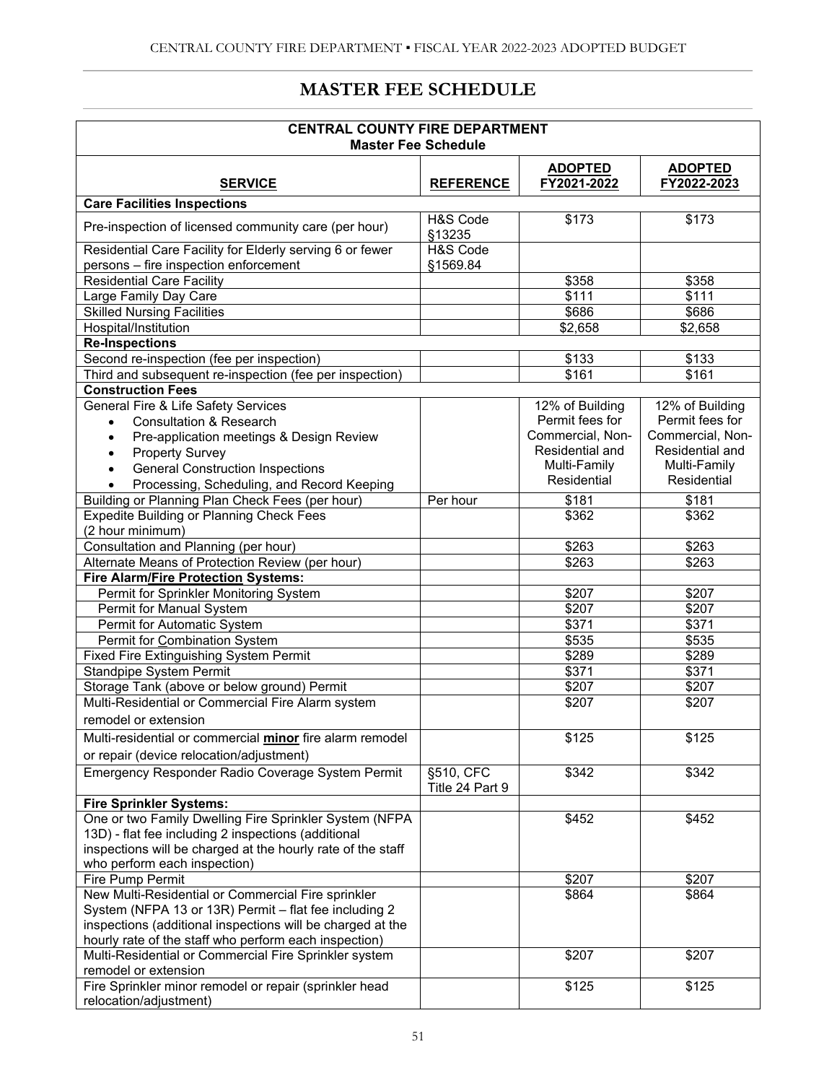## **MASTER FEE SCHEDULE**

| <b>CENTRAL COUNTY FIRE DEPARTMENT</b><br><b>Master Fee Schedule</b>                                                 |                              |                               |                               |  |  |
|---------------------------------------------------------------------------------------------------------------------|------------------------------|-------------------------------|-------------------------------|--|--|
| <b>SERVICE</b>                                                                                                      | <b>REFERENCE</b>             | <b>ADOPTED</b><br>FY2021-2022 | <b>ADOPTED</b><br>FY2022-2023 |  |  |
| <b>Care Facilities Inspections</b>                                                                                  |                              |                               |                               |  |  |
| Pre-inspection of licensed community care (per hour)                                                                | H&S Code<br>§13235           | \$173                         | \$173                         |  |  |
| Residential Care Facility for Elderly serving 6 or fewer<br>persons - fire inspection enforcement                   | H&S Code<br>§1569.84         |                               |                               |  |  |
| <b>Residential Care Facility</b>                                                                                    |                              | \$358                         | \$358                         |  |  |
| Large Family Day Care                                                                                               |                              | \$111                         | \$111                         |  |  |
| <b>Skilled Nursing Facilities</b>                                                                                   |                              | \$686                         | \$686                         |  |  |
|                                                                                                                     |                              |                               |                               |  |  |
| Hospital/Institution                                                                                                |                              | \$2,658                       | \$2,658                       |  |  |
| <b>Re-Inspections</b>                                                                                               |                              |                               |                               |  |  |
| Second re-inspection (fee per inspection)                                                                           |                              | \$133                         | \$133                         |  |  |
| Third and subsequent re-inspection (fee per inspection)                                                             |                              | \$161                         | \$161                         |  |  |
| <b>Construction Fees</b>                                                                                            |                              |                               |                               |  |  |
| General Fire & Life Safety Services                                                                                 |                              | 12% of Building               | 12% of Building               |  |  |
| <b>Consultation &amp; Research</b><br>$\bullet$                                                                     |                              | Permit fees for               | Permit fees for               |  |  |
| Pre-application meetings & Design Review<br>$\bullet$                                                               |                              | Commercial, Non-              | Commercial, Non-              |  |  |
| <b>Property Survey</b>                                                                                              |                              | Residential and               | Residential and               |  |  |
| <b>General Construction Inspections</b>                                                                             |                              | Multi-Family                  | Multi-Family                  |  |  |
| Processing, Scheduling, and Record Keeping<br>$\bullet$                                                             |                              | Residential                   | Residential                   |  |  |
| Building or Planning Plan Check Fees (per hour)                                                                     | Per hour                     | \$181                         | \$181                         |  |  |
| <b>Expedite Building or Planning Check Fees</b><br>(2 hour minimum)                                                 |                              | \$362                         | \$362                         |  |  |
| Consultation and Planning (per hour)                                                                                |                              | \$263                         | \$263                         |  |  |
| Alternate Means of Protection Review (per hour)                                                                     |                              | \$263                         | \$263                         |  |  |
| Fire Alarm/Fire Protection Systems:                                                                                 |                              |                               |                               |  |  |
| Permit for Sprinkler Monitoring System                                                                              |                              | \$207                         | \$207                         |  |  |
| Permit for Manual System                                                                                            |                              | \$207                         | \$207                         |  |  |
| Permit for Automatic System                                                                                         |                              | \$371                         | \$371                         |  |  |
| Permit for Combination System                                                                                       |                              | \$535                         | \$535                         |  |  |
|                                                                                                                     |                              |                               |                               |  |  |
| Fixed Fire Extinguishing System Permit                                                                              |                              | \$289<br>\$371                | \$289<br>\$371                |  |  |
| <b>Standpipe System Permit</b>                                                                                      |                              |                               |                               |  |  |
| Storage Tank (above or below ground) Permit                                                                         |                              | \$207                         | \$207                         |  |  |
| Multi-Residential or Commercial Fire Alarm system                                                                   |                              | \$207                         | \$207                         |  |  |
| remodel or extension                                                                                                |                              |                               |                               |  |  |
| Multi-residential or commercial <i>minor</i> fire alarm remodel<br>or repair (device relocation/adjustment)         |                              | \$125                         | \$125                         |  |  |
| Emergency Responder Radio Coverage System Permit                                                                    | §510, CFC<br>Title 24 Part 9 | \$342                         | \$342                         |  |  |
| <b>Fire Sprinkler Systems:</b>                                                                                      |                              |                               |                               |  |  |
| One or two Family Dwelling Fire Sprinkler System (NFPA                                                              |                              | \$452                         | \$452                         |  |  |
| 13D) - flat fee including 2 inspections (additional                                                                 |                              |                               |                               |  |  |
| inspections will be charged at the hourly rate of the staff                                                         |                              |                               |                               |  |  |
| who perform each inspection)                                                                                        |                              |                               |                               |  |  |
| <b>Fire Pump Permit</b>                                                                                             |                              | \$207                         | \$207                         |  |  |
| New Multi-Residential or Commercial Fire sprinkler                                                                  |                              | \$864                         | \$864                         |  |  |
| System (NFPA 13 or 13R) Permit - flat fee including 2                                                               |                              |                               |                               |  |  |
|                                                                                                                     |                              |                               |                               |  |  |
| inspections (additional inspections will be charged at the<br>hourly rate of the staff who perform each inspection) |                              |                               |                               |  |  |
|                                                                                                                     |                              | \$207                         | \$207                         |  |  |
| Multi-Residential or Commercial Fire Sprinkler system<br>remodel or extension                                       |                              |                               |                               |  |  |
| Fire Sprinkler minor remodel or repair (sprinkler head                                                              |                              | $\overline{$}125$             | \$125                         |  |  |
| relocation/adjustment)                                                                                              |                              |                               |                               |  |  |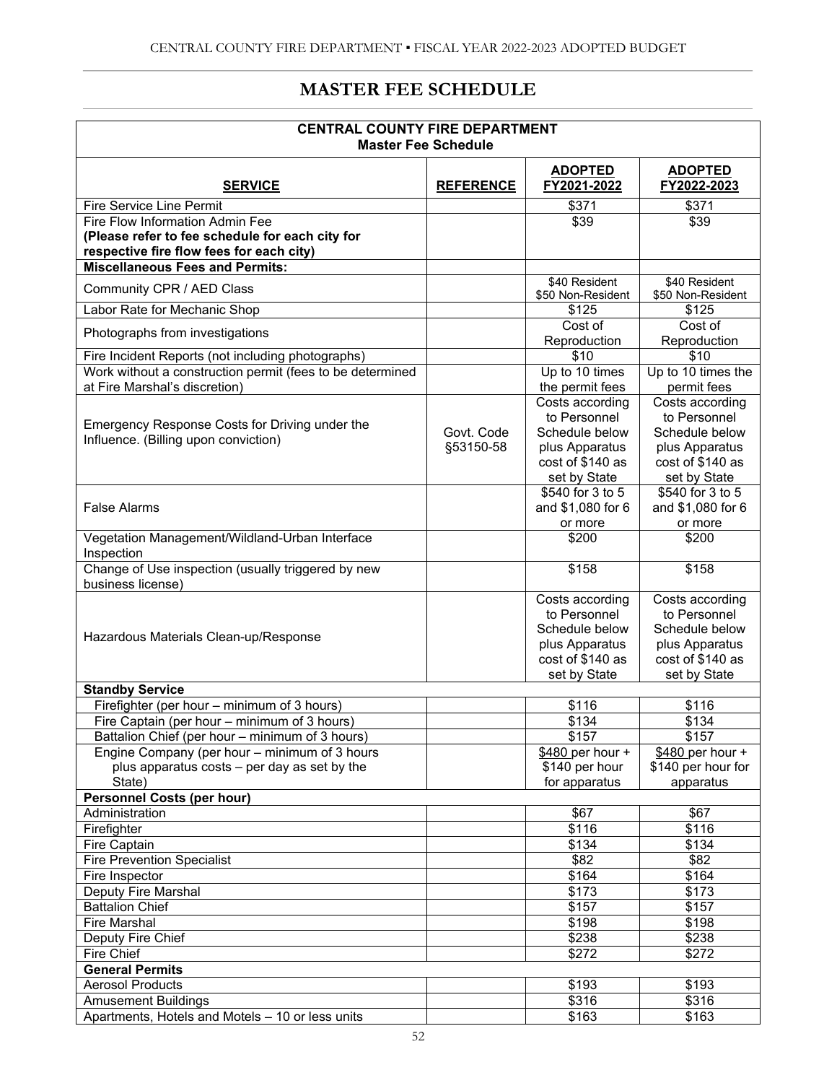## **MASTER FEE SCHEDULE**

| <b>CENTRAL COUNTY FIRE DEPARTMENT</b><br><b>Master Fee Schedule</b>                                                                                        |                         |                                                                                                         |                                                                                                         |  |  |
|------------------------------------------------------------------------------------------------------------------------------------------------------------|-------------------------|---------------------------------------------------------------------------------------------------------|---------------------------------------------------------------------------------------------------------|--|--|
| <b>SERVICE</b>                                                                                                                                             | <b>REFERENCE</b>        | <b>ADOPTED</b><br>FY2021-2022                                                                           | <b>ADOPTED</b><br>FY2022-2023                                                                           |  |  |
| Fire Service Line Permit                                                                                                                                   |                         | \$371                                                                                                   | \$371                                                                                                   |  |  |
| Fire Flow Information Admin Fee<br>(Please refer to fee schedule for each city for<br>respective fire flow fees for each city)                             |                         | \$39                                                                                                    | \$39                                                                                                    |  |  |
| <b>Miscellaneous Fees and Permits:</b>                                                                                                                     |                         |                                                                                                         |                                                                                                         |  |  |
| Community CPR / AED Class                                                                                                                                  |                         | \$40 Resident<br>\$50 Non-Resident                                                                      | \$40 Resident<br>\$50 Non-Resident                                                                      |  |  |
| Labor Rate for Mechanic Shop                                                                                                                               |                         | \$125                                                                                                   | \$125                                                                                                   |  |  |
| Photographs from investigations                                                                                                                            |                         | Cost of<br>Reproduction                                                                                 | Cost of<br>Reproduction                                                                                 |  |  |
| Fire Incident Reports (not including photographs)                                                                                                          |                         | \$10                                                                                                    | \$10                                                                                                    |  |  |
| Work without a construction permit (fees to be determined<br>at Fire Marshal's discretion)                                                                 |                         | Up to 10 times<br>the permit fees                                                                       | Up to 10 times the<br>permit fees                                                                       |  |  |
| Emergency Response Costs for Driving under the<br>Influence. (Billing upon conviction)                                                                     | Govt. Code<br>§53150-58 | Costs according<br>to Personnel<br>Schedule below<br>plus Apparatus<br>cost of \$140 as<br>set by State | Costs according<br>to Personnel<br>Schedule below<br>plus Apparatus<br>cost of \$140 as<br>set by State |  |  |
| <b>False Alarms</b>                                                                                                                                        |                         | \$540 for 3 to 5<br>and \$1,080 for 6<br>or more                                                        | \$540 for 3 to 5<br>and \$1,080 for 6<br>or more                                                        |  |  |
| Vegetation Management/Wildland-Urban Interface<br>Inspection                                                                                               |                         | \$200                                                                                                   | \$200                                                                                                   |  |  |
| Change of Use inspection (usually triggered by new<br>business license)                                                                                    |                         | \$158                                                                                                   | \$158                                                                                                   |  |  |
| Hazardous Materials Clean-up/Response                                                                                                                      |                         | Costs according<br>to Personnel<br>Schedule below<br>plus Apparatus<br>cost of \$140 as<br>set by State | Costs according<br>to Personnel<br>Schedule below<br>plus Apparatus<br>cost of \$140 as<br>set by State |  |  |
| <b>Standby Service</b>                                                                                                                                     |                         |                                                                                                         |                                                                                                         |  |  |
| Firefighter (per hour – minimum of 3 hours)                                                                                                                |                         | \$116                                                                                                   | \$116                                                                                                   |  |  |
| Fire Captain (per hour - minimum of 3 hours)                                                                                                               |                         | \$134                                                                                                   | \$134                                                                                                   |  |  |
| Battalion Chief (per hour - minimum of 3 hours)<br>Engine Company (per hour – minimum of 3 hours<br>plus apparatus costs - per day as set by the<br>State) |                         | \$157<br>\$480 per hour +<br>\$140 per hour<br>for apparatus                                            | \$157<br>$$480$ per hour +<br>\$140 per hour for<br>apparatus                                           |  |  |
| <b>Personnel Costs (per hour)</b>                                                                                                                          |                         |                                                                                                         |                                                                                                         |  |  |
| Administration                                                                                                                                             |                         | \$67                                                                                                    | \$67                                                                                                    |  |  |
| Firefighter                                                                                                                                                |                         | \$116                                                                                                   | \$116                                                                                                   |  |  |
| Fire Captain                                                                                                                                               |                         | $\sqrt{$134}$                                                                                           | \$134                                                                                                   |  |  |
| <b>Fire Prevention Specialist</b>                                                                                                                          |                         | \$82                                                                                                    | $\sqrt{$82}$                                                                                            |  |  |
| Fire Inspector                                                                                                                                             |                         | \$164                                                                                                   | \$164                                                                                                   |  |  |
| Deputy Fire Marshal                                                                                                                                        |                         | \$173                                                                                                   | \$173                                                                                                   |  |  |
| <b>Battalion Chief</b>                                                                                                                                     |                         | \$157                                                                                                   | $\sqrt{$157}$                                                                                           |  |  |
| <b>Fire Marshal</b>                                                                                                                                        |                         | \$198                                                                                                   | \$198                                                                                                   |  |  |
| Deputy Fire Chief                                                                                                                                          |                         | \$238                                                                                                   | \$238                                                                                                   |  |  |
| Fire Chief                                                                                                                                                 |                         | \$272                                                                                                   | \$272                                                                                                   |  |  |
| <b>General Permits</b>                                                                                                                                     |                         |                                                                                                         |                                                                                                         |  |  |
| <b>Aerosol Products</b>                                                                                                                                    |                         | \$193                                                                                                   | \$193                                                                                                   |  |  |
| <b>Amusement Buildings</b>                                                                                                                                 |                         | \$316                                                                                                   | \$316                                                                                                   |  |  |
| Apartments, Hotels and Motels - 10 or less units                                                                                                           |                         | \$163                                                                                                   | \$163                                                                                                   |  |  |